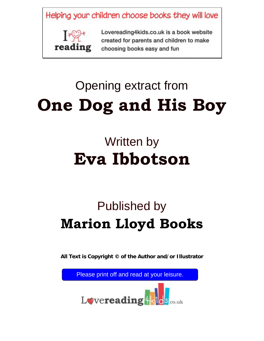Helping your children choose books they will love



Lovereading4kids.co.uk is a book website created for parents and children to make **Extrants** choosing books easy and fun

# Opening extract from **One Dog and His Boy**

## Written by **Eva Ibbotson**

### Published by **Marion Lloyd Books**

**All Text is Copyright © of the Author and/or Illustrator** 

Please print off and read at your leisure.

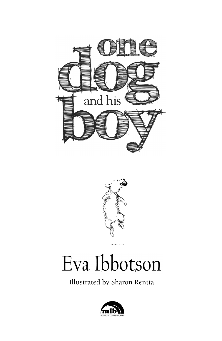



### Eva Ibbotson

Illustrated by Sharon Rentta

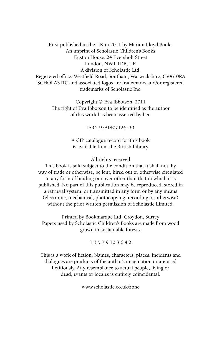First published in the UK in 2011 by Marion Lloyd Books An imprint of Scholastic Children's Books Euston House, 24 Eversholt Street London, NW1 1DB, UK A division of Scholastic Ltd. Registered office: Westfield Road, Southam, Warwickshire, CV47 0RA SCHOLASTIC and associated logos are trademarks and/or registered trademarks of Scholastic Inc.

> Copyright © Eva Ibbotson, 2011 The right of Eva Ibbotson to be identified as the author of this work has been asserted by her.

> > ISBN 9781407124230

A CIP catalogue record for this book is available from the British Library

#### All rights reserved

This book is sold subject to the condition that it shall not, by way of trade or otherwise, be lent, hired out or otherwise circulated in any form of binding or cover other than that in which it is published. No part of this publication may be reproduced, stored in a retrieval system, or transmitted in any form or by any means (electronic, mechanical, photocopying, recording or otherwise) without the prior written permission of Scholastic Limited.

Printed by Bookmarque Ltd, Croydon, Surrey Papers used by Scholastic Children's Books are made from wood grown in sustainable forests.

#### 1 3 5 7 9 10 8 6 4 2

This is a work of fiction. Names, characters, places, incidents and dialogues are products of the author's imagination or are used fictitiously. Any resemblance to actual people, living or dead, events or locales is entirely coincidental.

www.scholastic.co.uk/zone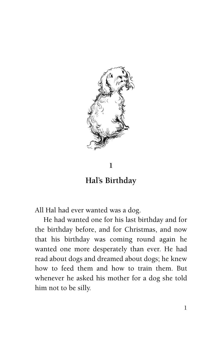

#### **1**

**Hal's Birthday**

All Hal had ever wanted was a dog.

He had wanted one for his last birthday and for the birthday before, and for Christmas, and now that his birthday was coming round again he wanted one more desperately than ever. He had read about dogs and dreamed about dogs; he knew how to feed them and how to train them. But whenever he asked his mother for a dog she told him not to be silly.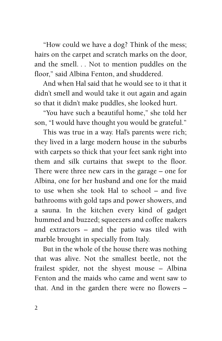"How could we have a dog? Think of the mess; hairs on the carpet and scratch marks on the door, and the smell. . . Not to mention puddles on the floor," said Albina Fenton, and shuddered.

And when Hal said that he would see to it that it didn't smell and would take it out again and again so that it didn't make puddles, she looked hurt.

"You have such a beautiful home," she told her son, "I would have thought you would be grateful."

This was true in a way. Hal's parents were rich; they lived in a large modern house in the suburbs with carpets so thick that your feet sank right into them and silk curtains that swept to the floor. There were three new cars in the garage – one for Albina, one for her husband and one for the maid to use when she took Hal to school – and five bathrooms with gold taps and power showers, and a sauna. In the kitchen every kind of gadget hummed and buzzed; squeezers and coffee makers and extractors – and the patio was tiled with marble brought in specially from Italy.

But in the whole of the house there was nothing that was alive. Not the smallest beetle, not the frailest spider, not the shyest mouse – Albina Fenton and the maids who came and went saw to that. And in the garden there were no flowers –

 $\mathfrak{D}$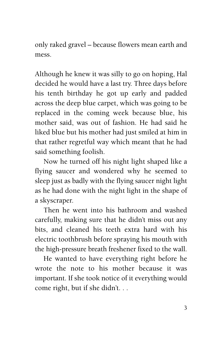only raked gravel – because flowers mean earth and mess.

Although he knew it was silly to go on hoping, Hal decided he would have a last try. Three days before his tenth birthday he got up early and padded across the deep blue carpet, which was going to be replaced in the coming week because blue, his mother said, was out of fashion. He had said he liked blue but his mother had just smiled at him in that rather regretful way which meant that he had said something foolish.

Now he turned off his night light shaped like a flying saucer and wondered why he seemed to sleep just as badly with the flying saucer night light as he had done with the night light in the shape of a skyscraper.

Then he went into his bathroom and washed carefully, making sure that he didn't miss out any bits, and cleaned his teeth extra hard with his electric toothbrush before spraying his mouth with the high-pressure breath freshener fixed to the wall.

He wanted to have everything right before he wrote the note to his mother because it was important. If she took notice of it everything would come right, but if she didn't. . .